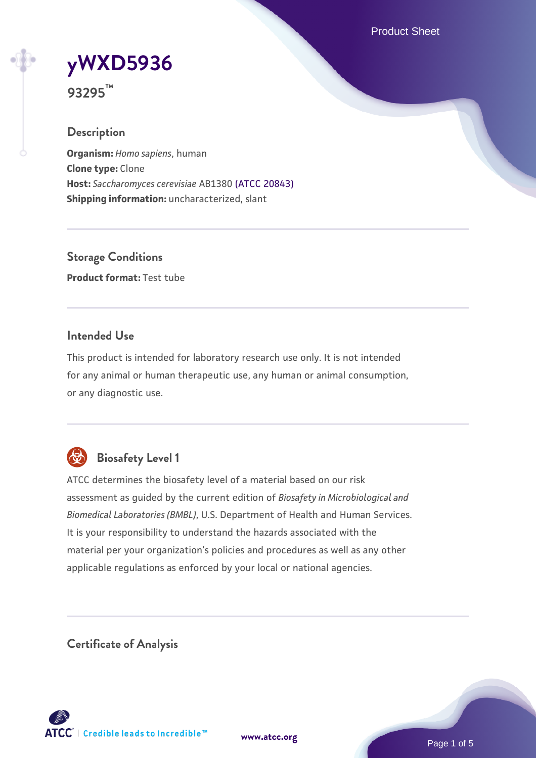Product Sheet

# **[yWXD5936](https://www.atcc.org/products/93295)**

**93295™**

# **Description**

**Organism:** *Homo sapiens*, human **Clone type:** Clone **Host:** *Saccharomyces cerevisiae* AB1380 [\(ATCC 20843\)](https://www.atcc.org/products/20843) **Shipping information:** uncharacterized, slant

**Storage Conditions Product format:** Test tube

# **Intended Use**

This product is intended for laboratory research use only. It is not intended for any animal or human therapeutic use, any human or animal consumption, or any diagnostic use.



# **Biosafety Level 1**

ATCC determines the biosafety level of a material based on our risk assessment as guided by the current edition of *Biosafety in Microbiological and Biomedical Laboratories (BMBL)*, U.S. Department of Health and Human Services. It is your responsibility to understand the hazards associated with the material per your organization's policies and procedures as well as any other applicable regulations as enforced by your local or national agencies.

**Certificate of Analysis**

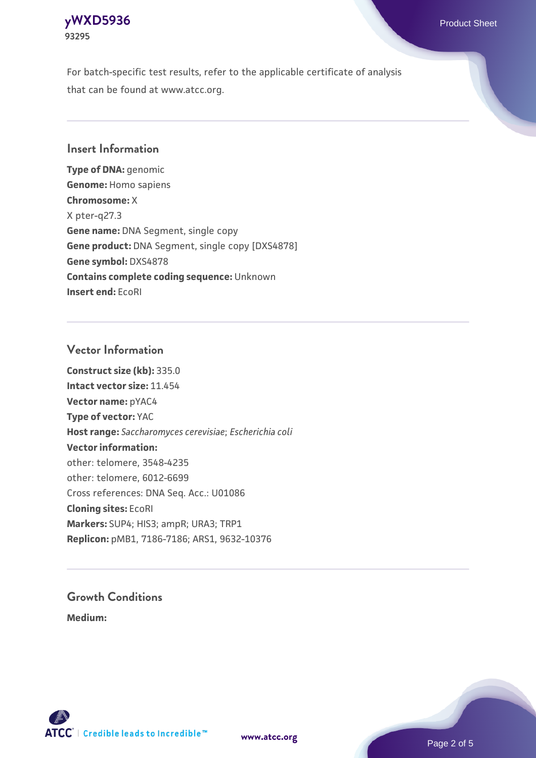### **[yWXD5936](https://www.atcc.org/products/93295)** Product Sheet **93295**

For batch-specific test results, refer to the applicable certificate of analysis that can be found at www.atcc.org.

# **Insert Information**

**Type of DNA:** genomic **Genome:** Homo sapiens **Chromosome:** X X pter-q27.3 **Gene name:** DNA Segment, single copy **Gene product:** DNA Segment, single copy [DXS4878] **Gene symbol:** DXS4878 **Contains complete coding sequence:** Unknown **Insert end:** EcoRI

# **Vector Information**

**Construct size (kb):** 335.0 **Intact vector size:** 11.454 **Vector name:** pYAC4 **Type of vector:** YAC **Host range:** *Saccharomyces cerevisiae*; *Escherichia coli* **Vector information:** other: telomere, 3548-4235 other: telomere, 6012-6699 Cross references: DNA Seq. Acc.: U01086 **Cloning sites:** EcoRI **Markers:** SUP4; HIS3; ampR; URA3; TRP1 **Replicon:** pMB1, 7186-7186; ARS1, 9632-10376

# **Growth Conditions**

**Medium:** 



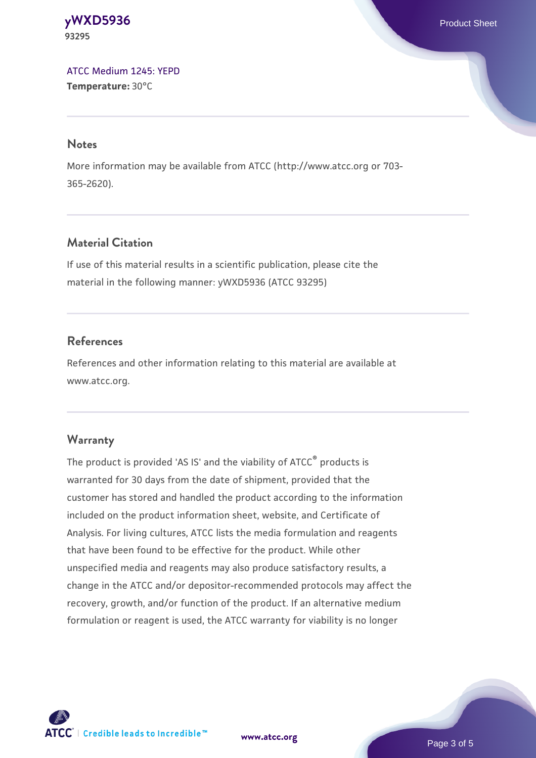**[yWXD5936](https://www.atcc.org/products/93295)** Product Sheet **93295**

[ATCC Medium 1245: YEPD](https://www.atcc.org/-/media/product-assets/documents/microbial-media-formulations/1/2/4/5/atcc-medium-1245.pdf?rev=705ca55d1b6f490a808a965d5c072196) **Temperature:** 30°C

#### **Notes**

More information may be available from ATCC (http://www.atcc.org or 703- 365-2620).

# **Material Citation**

If use of this material results in a scientific publication, please cite the material in the following manner: yWXD5936 (ATCC 93295)

# **References**

References and other information relating to this material are available at www.atcc.org.

#### **Warranty**

The product is provided 'AS IS' and the viability of ATCC® products is warranted for 30 days from the date of shipment, provided that the customer has stored and handled the product according to the information included on the product information sheet, website, and Certificate of Analysis. For living cultures, ATCC lists the media formulation and reagents that have been found to be effective for the product. While other unspecified media and reagents may also produce satisfactory results, a change in the ATCC and/or depositor-recommended protocols may affect the recovery, growth, and/or function of the product. If an alternative medium formulation or reagent is used, the ATCC warranty for viability is no longer

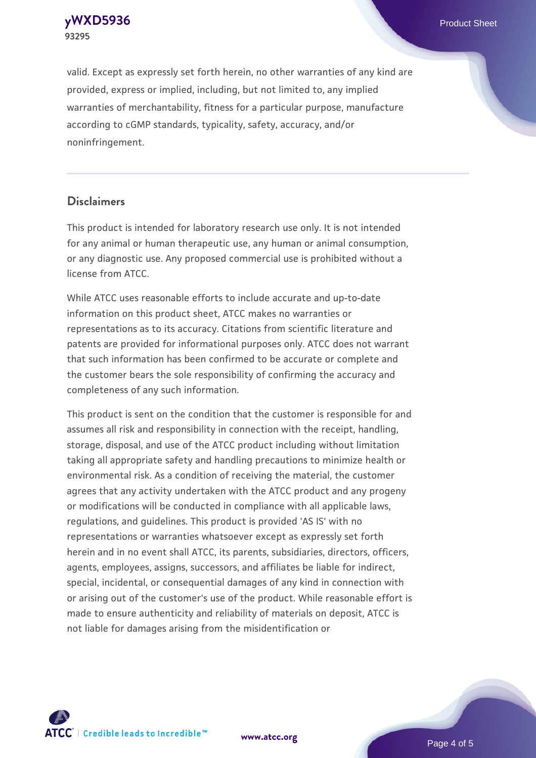**[yWXD5936](https://www.atcc.org/products/93295)** Product Sheet **93295**

valid. Except as expressly set forth herein, no other warranties of any kind are provided, express or implied, including, but not limited to, any implied warranties of merchantability, fitness for a particular purpose, manufacture according to cGMP standards, typicality, safety, accuracy, and/or noninfringement.

#### **Disclaimers**

This product is intended for laboratory research use only. It is not intended for any animal or human therapeutic use, any human or animal consumption, or any diagnostic use. Any proposed commercial use is prohibited without a license from ATCC.

While ATCC uses reasonable efforts to include accurate and up-to-date information on this product sheet, ATCC makes no warranties or representations as to its accuracy. Citations from scientific literature and patents are provided for informational purposes only. ATCC does not warrant that such information has been confirmed to be accurate or complete and the customer bears the sole responsibility of confirming the accuracy and completeness of any such information.

This product is sent on the condition that the customer is responsible for and assumes all risk and responsibility in connection with the receipt, handling, storage, disposal, and use of the ATCC product including without limitation taking all appropriate safety and handling precautions to minimize health or environmental risk. As a condition of receiving the material, the customer agrees that any activity undertaken with the ATCC product and any progeny or modifications will be conducted in compliance with all applicable laws, regulations, and guidelines. This product is provided 'AS IS' with no representations or warranties whatsoever except as expressly set forth herein and in no event shall ATCC, its parents, subsidiaries, directors, officers, agents, employees, assigns, successors, and affiliates be liable for indirect, special, incidental, or consequential damages of any kind in connection with or arising out of the customer's use of the product. While reasonable effort is made to ensure authenticity and reliability of materials on deposit, ATCC is not liable for damages arising from the misidentification or



**[www.atcc.org](http://www.atcc.org)**

Page 4 of 5